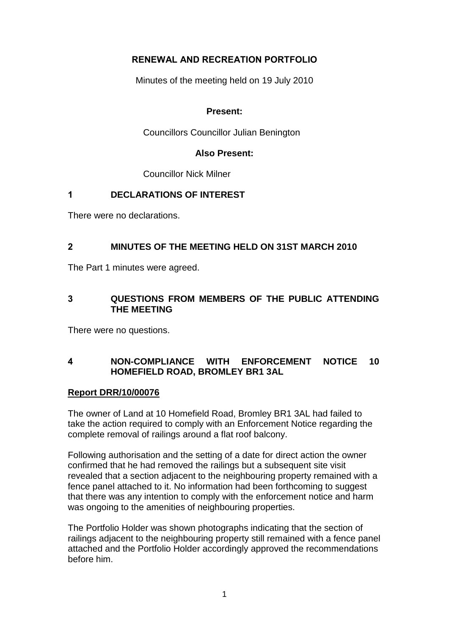# **RENEWAL AND RECREATION PORTFOLIO**

Minutes of the meeting held on 19 July 2010

# **Present:**

Councillors Councillor Julian Benington

#### **Also Present:**

Councillor Nick Milner

# **1 DECLARATIONS OF INTEREST**

There were no declarations.

# **2 MINUTES OF THE MEETING HELD ON 31ST MARCH 2010**

The Part 1 minutes were agreed.

# **3 QUESTIONS FROM MEMBERS OF THE PUBLIC ATTENDING THE MEETING**

There were no questions.

# **4 NON-COMPLIANCE WITH ENFORCEMENT NOTICE 10 HOMEFIELD ROAD, BROMLEY BR1 3AL**

# **Report DRR/10/00076**

The owner of Land at 10 Homefield Road, Bromley BR1 3AL had failed to take the action required to comply with an Enforcement Notice regarding the complete removal of railings around a flat roof balcony.

Following authorisation and the setting of a date for direct action the owner confirmed that he had removed the railings but a subsequent site visit revealed that a section adjacent to the neighbouring property remained with a fence panel attached to it. No information had been forthcoming to suggest that there was any intention to comply with the enforcement notice and harm was ongoing to the amenities of neighbouring properties.

The Portfolio Holder was shown photographs indicating that the section of railings adjacent to the neighbouring property still remained with a fence panel attached and the Portfolio Holder accordingly approved the recommendations before him.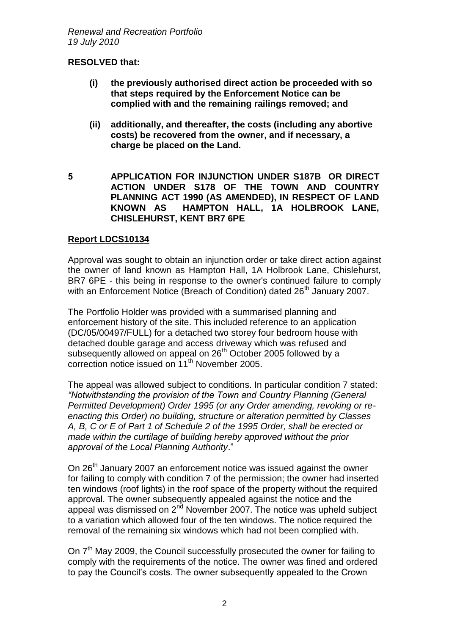#### **RESOLVED that:**

- **(i) the previously authorised direct action be proceeded with so that steps required by the Enforcement Notice can be complied with and the remaining railings removed; and**
- **(ii) additionally, and thereafter, the costs (including any abortive costs) be recovered from the owner, and if necessary, a charge be placed on the Land.**
- **5 APPLICATION FOR INJUNCTION UNDER S187B OR DIRECT ACTION UNDER S178 OF THE TOWN AND COUNTRY PLANNING ACT 1990 (AS AMENDED), IN RESPECT OF LAND KNOWN AS HAMPTON HALL, 1A HOLBROOK LANE, CHISLEHURST, KENT BR7 6PE**

#### **Report LDCS10134**

Approval was sought to obtain an injunction order or take direct action against the owner of land known as Hampton Hall, 1A Holbrook Lane, Chislehurst, BR7 6PE - this being in response to the owner's continued failure to comply with an Enforcement Notice (Breach of Condition) dated 26<sup>th</sup> January 2007.

The Portfolio Holder was provided with a summarised planning and enforcement history of the site. This included reference to an application (DC/05/00497/FULL) for a detached two storey four bedroom house with detached double garage and access driveway which was refused and subsequently allowed on appeal on 26<sup>th</sup> October 2005 followed by a correction notice issued on 11th November 2005.

The appeal was allowed subject to conditions. In particular condition 7 stated: *"Notwithstanding the provision of the Town and Country Planning (General Permitted Development) Order 1995 (or any Order amending, revoking or reenacting this Order) no building, structure or alteration permitted by Classes A, B, C or E of Part 1 of Schedule 2 of the 1995 Order, shall be erected or made within the curtilage of building hereby approved without the prior approval of the Local Planning Authority*."

On 26<sup>th</sup> January 2007 an enforcement notice was issued against the owner for failing to comply with condition 7 of the permission; the owner had inserted ten windows (roof lights) in the roof space of the property without the required approval. The owner subsequently appealed against the notice and the appeal was dismissed on  $2<sup>nd</sup>$  November 2007. The notice was upheld subject to a variation which allowed four of the ten windows. The notice required the removal of the remaining six windows which had not been complied with.

On 7<sup>th</sup> May 2009, the Council successfully prosecuted the owner for failing to comply with the requirements of the notice. The owner was fined and ordered to pay the Council's costs. The owner subsequently appealed to the Crown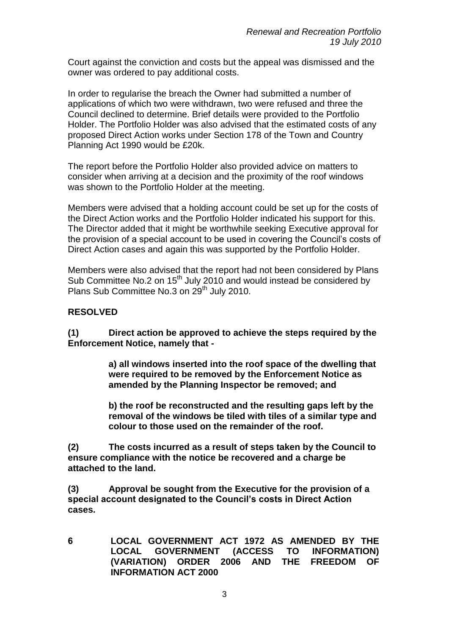Court against the conviction and costs but the appeal was dismissed and the owner was ordered to pay additional costs.

In order to regularise the breach the Owner had submitted a number of applications of which two were withdrawn, two were refused and three the Council declined to determine. Brief details were provided to the Portfolio Holder. The Portfolio Holder was also advised that the estimated costs of any proposed Direct Action works under Section 178 of the Town and Country Planning Act 1990 would be £20k.

The report before the Portfolio Holder also provided advice on matters to consider when arriving at a decision and the proximity of the roof windows was shown to the Portfolio Holder at the meeting.

Members were advised that a holding account could be set up for the costs of the Direct Action works and the Portfolio Holder indicated his support for this. The Director added that it might be worthwhile seeking Executive approval for the provision of a special account to be used in covering the Council's costs of Direct Action cases and again this was supported by the Portfolio Holder.

Members were also advised that the report had not been considered by Plans Sub Committee No.2 on 15<sup>th</sup> July 2010 and would instead be considered by Plans Sub Committee No.3 on 29<sup>th</sup> July 2010.

#### **RESOLVED**

**(1) Direct action be approved to achieve the steps required by the Enforcement Notice, namely that -** 

> **a) all windows inserted into the roof space of the dwelling that were required to be removed by the Enforcement Notice as amended by the Planning Inspector be removed; and**

> **b) the roof be reconstructed and the resulting gaps left by the removal of the windows be tiled with tiles of a similar type and colour to those used on the remainder of the roof.**

**(2) The costs incurred as a result of steps taken by the Council to ensure compliance with the notice be recovered and a charge be attached to the land.**

**(3) Approval be sought from the Executive for the provision of a special account designated to the Council's costs in Direct Action cases.** 

**6 LOCAL GOVERNMENT ACT 1972 AS AMENDED BY THE LOCAL GOVERNMENT (ACCESS TO INFORMATION) (VARIATION) ORDER 2006 AND THE FREEDOM OF INFORMATION ACT 2000**